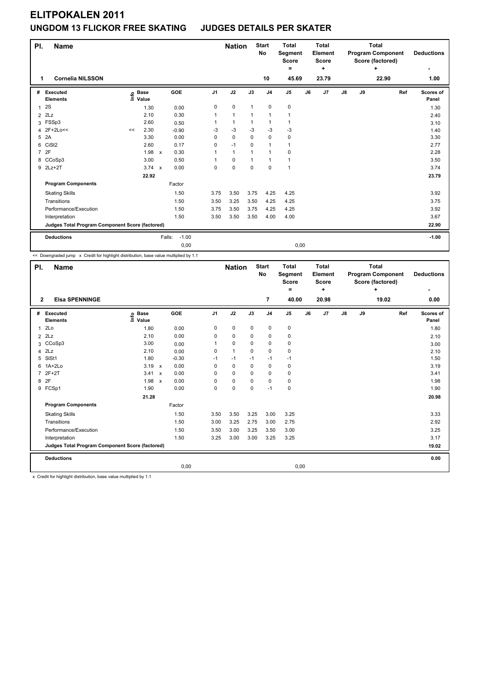| PI.            | <b>Name</b>                                     |    |                                  |              |                   |                | <b>Nation</b> |              | <b>Start</b><br><b>No</b> | <b>Total</b><br>Segment<br><b>Score</b><br>= |    | <b>Total</b><br>Element<br><b>Score</b><br>٠ |    |    | <b>Total</b><br><b>Program Component</b><br>Score (factored)<br>٠ |     | <b>Deductions</b><br>٠ |
|----------------|-------------------------------------------------|----|----------------------------------|--------------|-------------------|----------------|---------------|--------------|---------------------------|----------------------------------------------|----|----------------------------------------------|----|----|-------------------------------------------------------------------|-----|------------------------|
| 1              | <b>Cornelia NILSSON</b>                         |    |                                  |              |                   |                |               |              | 10                        | 45.69                                        |    | 23.79                                        |    |    | 22.90                                                             |     | 1.00                   |
| #              | <b>Executed</b><br><b>Elements</b>              |    | <b>Base</b><br>e Base<br>⊑ Value |              | GOE               | J <sub>1</sub> | J2            | J3           | J <sub>4</sub>            | J <sub>5</sub>                               | J6 | J7                                           | J8 | J9 |                                                                   | Ref | Scores of<br>Panel     |
| 1              | 2S                                              |    | 1.30                             |              | 0.00              | 0              | $\mathbf 0$   | $\mathbf{1}$ | 0                         | $\pmb{0}$                                    |    |                                              |    |    |                                                                   |     | 1.30                   |
|                | $2$ $2Lz$                                       |    | 2.10                             |              | 0.30              |                | $\mathbf{1}$  | $\mathbf{1}$ | $\mathbf{1}$              | $\overline{1}$                               |    |                                              |    |    |                                                                   |     | 2.40                   |
|                | 3 FSSp3                                         |    | 2.60                             |              | 0.50              |                | $\mathbf{1}$  | 1            | $\mathbf{1}$              | 1                                            |    |                                              |    |    |                                                                   |     | 3.10                   |
| 4              | 2F+2Lo<<                                        | << | 2.30                             |              | $-0.90$           | -3             | $-3$          | $-3$         | $-3$                      | $-3$                                         |    |                                              |    |    |                                                                   |     | 1.40                   |
| 5              | 2A                                              |    | 3.30                             |              | 0.00              | 0              | $\mathbf 0$   | $\Omega$     | $\mathbf 0$               | 0                                            |    |                                              |    |    |                                                                   |     | 3.30                   |
| 6              | CiSt <sub>2</sub>                               |    | 2.60                             |              | 0.17              | 0              | $-1$          | $\Omega$     | $\mathbf{1}$              | $\mathbf{1}$                                 |    |                                              |    |    |                                                                   |     | 2.77                   |
| $\overline{7}$ | 2F                                              |    | 1.98                             | $\mathsf{x}$ | 0.30              |                | $\mathbf{1}$  | $\mathbf{1}$ | $\mathbf{1}$              | $\mathbf 0$                                  |    |                                              |    |    |                                                                   |     | 2.28                   |
|                | 8 CCoSp3                                        |    | 3.00                             |              | 0.50              |                | $\mathbf 0$   | $\mathbf{1}$ | $\mathbf{1}$              | $\mathbf{1}$                                 |    |                                              |    |    |                                                                   |     | 3.50                   |
|                | 9 2Lz+2T                                        |    | $3.74 \times$                    |              | 0.00              | 0              | $\mathbf 0$   | $\Omega$     | $\Omega$                  | 1                                            |    |                                              |    |    |                                                                   |     | 3.74                   |
|                |                                                 |    | 22.92                            |              |                   |                |               |              |                           |                                              |    |                                              |    |    |                                                                   |     | 23.79                  |
|                | <b>Program Components</b>                       |    |                                  |              | Factor            |                |               |              |                           |                                              |    |                                              |    |    |                                                                   |     |                        |
|                | <b>Skating Skills</b>                           |    |                                  |              | 1.50              | 3.75           | 3.50          | 3.75         | 4.25                      | 4.25                                         |    |                                              |    |    |                                                                   |     | 3.92                   |
|                | Transitions                                     |    |                                  |              | 1.50              | 3.50           | 3.25          | 3.50         | 4.25                      | 4.25                                         |    |                                              |    |    |                                                                   |     | 3.75                   |
|                | Performance/Execution                           |    |                                  |              | 1.50              | 3.75           | 3.50          | 3.75         | 4.25                      | 4.25                                         |    |                                              |    |    |                                                                   |     | 3.92                   |
|                | Interpretation                                  |    |                                  |              | 1.50              | 3.50           | 3.50          | 3.50         | 4.00                      | 4.00                                         |    |                                              |    |    |                                                                   |     | 3.67                   |
|                | Judges Total Program Component Score (factored) |    |                                  |              |                   |                |               |              |                           |                                              |    |                                              |    |    |                                                                   |     | 22.90                  |
|                | <b>Deductions</b>                               |    |                                  |              | $-1.00$<br>Falls: |                |               |              |                           |                                              |    |                                              |    |    |                                                                   |     | $-1.00$                |
|                |                                                 |    |                                  |              | 0,00              |                |               |              |                           | 0,00                                         |    |                                              |    |    |                                                                   |     |                        |

<< Downgraded jump x Credit for highlight distribution, base value multiplied by 1.1

| PI.            | <b>Name</b>                                     |                              |              |         |                | <b>Nation</b> |             | <b>Start</b><br><b>No</b> | <b>Total</b><br>Segment<br><b>Score</b><br>= |    | <b>Total</b><br>Element<br><b>Score</b><br>٠ |               |    | <b>Total</b><br><b>Program Component</b><br>Score (factored)<br>٠ |     | <b>Deductions</b>  |
|----------------|-------------------------------------------------|------------------------------|--------------|---------|----------------|---------------|-------------|---------------------------|----------------------------------------------|----|----------------------------------------------|---------------|----|-------------------------------------------------------------------|-----|--------------------|
| $\overline{2}$ | <b>Elsa SPENNINGE</b>                           |                              |              |         |                |               |             | $\overline{7}$            | 40.00                                        |    | 20.98                                        |               |    | 19.02                                                             |     | 0.00               |
| #              | <b>Executed</b><br>Elements                     | <b>Base</b><br>١nf٥<br>Value |              | GOE     | J <sub>1</sub> | J2            | J3          | J <sub>4</sub>            | J5                                           | J6 | J7                                           | $\mathsf{J}8$ | J9 |                                                                   | Ref | Scores of<br>Panel |
|                | 12Lo                                            | 1.80                         |              | 0.00    | 0              | 0             | 0           | $\pmb{0}$                 | 0                                            |    |                                              |               |    |                                                                   |     | 1.80               |
| $\overline{2}$ | 2Lz                                             | 2.10                         |              | 0.00    | 0              | 0             | 0           | 0                         | 0                                            |    |                                              |               |    |                                                                   |     | 2.10               |
|                | 3 CCoSp3                                        | 3.00                         |              | 0.00    |                | $\mathbf 0$   | 0           | $\mathbf 0$               | 0                                            |    |                                              |               |    |                                                                   |     | 3.00               |
|                | $4$ $2Lz$                                       | 2.10                         |              | 0.00    | 0              | $\mathbf{1}$  | $\Omega$    | $\mathbf 0$               | 0                                            |    |                                              |               |    |                                                                   |     | 2.10               |
| 5              | SISt1                                           | 1.80                         |              | $-0.30$ | $-1$           | $-1$          | $-1$        | $-1$                      | $-1$                                         |    |                                              |               |    |                                                                   |     | 1.50               |
| 6              | $1A+2Lo$                                        | $3.19 \times$                |              | 0.00    | 0              | 0             | 0           | 0                         | 0                                            |    |                                              |               |    |                                                                   |     | 3.19               |
|                | 7 2F+2T                                         | 3.41 x                       |              | 0.00    | 0              | $\Omega$      | $\Omega$    | $\mathbf 0$               | 0                                            |    |                                              |               |    |                                                                   |     | 3.41               |
|                | 8 2F                                            | 1.98                         | $\mathsf{x}$ | 0.00    | 0              | $\mathbf 0$   | 0           | $\pmb{0}$                 | 0                                            |    |                                              |               |    |                                                                   |     | 1.98               |
|                | 9 FCSp1                                         | 1.90                         |              | 0.00    | 0              | $\mathbf 0$   | $\mathbf 0$ | $-1$                      | $\mathbf 0$                                  |    |                                              |               |    |                                                                   |     | 1.90               |
|                |                                                 | 21.28                        |              |         |                |               |             |                           |                                              |    |                                              |               |    |                                                                   |     | 20.98              |
|                | <b>Program Components</b>                       |                              |              | Factor  |                |               |             |                           |                                              |    |                                              |               |    |                                                                   |     |                    |
|                | <b>Skating Skills</b>                           |                              |              | 1.50    | 3.50           | 3.50          | 3.25        | 3.00                      | 3.25                                         |    |                                              |               |    |                                                                   |     | 3.33               |
|                | Transitions                                     |                              |              | 1.50    | 3.00           | 3.25          | 2.75        | 3.00                      | 2.75                                         |    |                                              |               |    |                                                                   |     | 2.92               |
|                | Performance/Execution                           |                              |              | 1.50    | 3.50           | 3.00          | 3.25        | 3.50                      | 3.00                                         |    |                                              |               |    |                                                                   |     | 3.25               |
|                | Interpretation                                  |                              |              | 1.50    | 3.25           | 3.00          | 3.00        | 3.25                      | 3.25                                         |    |                                              |               |    |                                                                   |     | 3.17               |
|                | Judges Total Program Component Score (factored) |                              |              |         |                |               |             |                           |                                              |    |                                              |               |    |                                                                   |     | 19.02              |
|                | <b>Deductions</b>                               |                              |              |         |                |               |             |                           |                                              |    |                                              |               |    |                                                                   |     | 0.00               |
|                |                                                 |                              |              | 0,00    |                |               |             |                           | 0,00                                         |    |                                              |               |    |                                                                   |     |                    |
|                |                                                 |                              |              |         |                |               |             |                           |                                              |    |                                              |               |    |                                                                   |     |                    |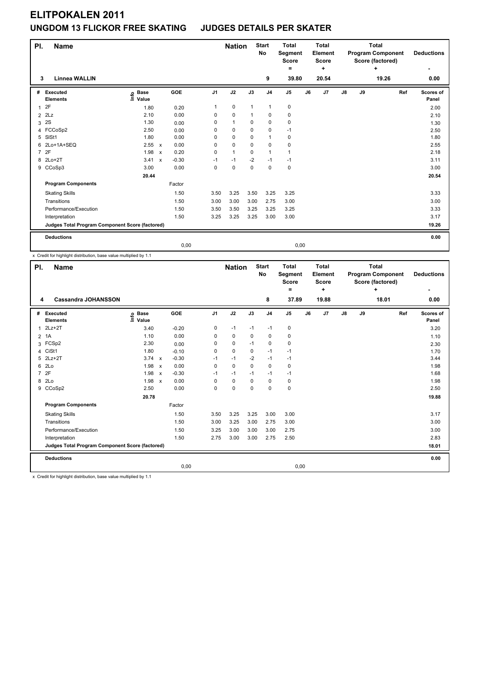| PI.            | <b>Name</b>                                     |                     |                         |                | <b>Nation</b> |              | <b>Start</b><br><b>No</b> | <b>Total</b><br>Segment<br><b>Score</b> |    | <b>Total</b><br>Element<br><b>Score</b> |    |    | <b>Total</b><br><b>Program Component</b><br>Score (factored) |     | <b>Deductions</b> |
|----------------|-------------------------------------------------|---------------------|-------------------------|----------------|---------------|--------------|---------------------------|-----------------------------------------|----|-----------------------------------------|----|----|--------------------------------------------------------------|-----|-------------------|
|                |                                                 |                     |                         |                |               |              |                           | ۰                                       |    | ÷                                       |    |    | ÷                                                            |     | ٠                 |
| 3              | <b>Linnea WALLIN</b>                            |                     |                         |                |               |              | 9                         | 39.80                                   |    | 20.54                                   |    |    | 19.26                                                        |     | 0.00              |
| #              | Executed                                        | <b>Base</b><br>١nf٥ | <b>GOE</b>              | J <sub>1</sub> | J2            | J3           | J <sub>4</sub>            | J5                                      | J6 | J7                                      | J8 | J9 |                                                              | Ref | Scores of         |
|                | <b>Elements</b>                                 | Value               |                         |                |               |              |                           |                                         |    |                                         |    |    |                                                              |     | Panel             |
| 1              | 2F                                              | 1.80                | 0.20                    | 1              | 0             | $\mathbf{1}$ | $\mathbf{1}$              | 0                                       |    |                                         |    |    |                                                              |     | 2.00              |
|                | $2$ $2Lz$                                       | 2.10                | 0.00                    | 0              | $\mathbf 0$   | 1            | 0                         | 0                                       |    |                                         |    |    |                                                              |     | 2.10              |
| 3              | 2S                                              | 1.30                | 0.00                    | 0              | $\mathbf{1}$  | 0            | 0                         | 0                                       |    |                                         |    |    |                                                              |     | 1.30              |
|                | 4 FCCoSp2                                       | 2.50                | 0.00                    | $\Omega$       | 0             | 0            | 0                         | $-1$                                    |    |                                         |    |    |                                                              |     | 2.50              |
| 5              | SISt1                                           | 1.80                | 0.00                    | 0              | $\mathbf 0$   | 0            | $\mathbf{1}$              | 0                                       |    |                                         |    |    |                                                              |     | 1.80              |
| 6              | 2Lo+1A+SEQ                                      | 2.55 x              | 0.00                    | $\Omega$       | 0             | 0            | 0                         | 0                                       |    |                                         |    |    |                                                              |     | 2.55              |
| $\overline{7}$ | 2F                                              | 1.98                | 0.20<br>$\mathsf{x}$    | $\Omega$       | $\mathbf{1}$  | 0            | $\mathbf{1}$              | 1                                       |    |                                         |    |    |                                                              |     | 2.18              |
|                | 8 2Lo+2T                                        | 3.41                | $-0.30$<br>$\mathsf{x}$ | $-1$           | $-1$          | $-2$         | $-1$                      | $-1$                                    |    |                                         |    |    |                                                              |     | 3.11              |
| 9              | CCoSp3                                          | 3.00                | 0.00                    | 0              | 0             | $\mathbf 0$  | $\mathbf 0$               | 0                                       |    |                                         |    |    |                                                              |     | 3.00              |
|                |                                                 | 20.44               |                         |                |               |              |                           |                                         |    |                                         |    |    |                                                              |     | 20.54             |
|                | <b>Program Components</b>                       |                     | Factor                  |                |               |              |                           |                                         |    |                                         |    |    |                                                              |     |                   |
|                | <b>Skating Skills</b>                           |                     | 1.50                    | 3.50           | 3.25          | 3.50         | 3.25                      | 3.25                                    |    |                                         |    |    |                                                              |     | 3.33              |
|                | Transitions                                     |                     | 1.50                    | 3.00           | 3.00          | 3.00         | 2.75                      | 3.00                                    |    |                                         |    |    |                                                              |     | 3.00              |
|                | Performance/Execution                           |                     | 1.50                    | 3.50           | 3.50          | 3.25         | 3.25                      | 3.25                                    |    |                                         |    |    |                                                              |     | 3.33              |
|                | Interpretation                                  |                     | 1.50                    | 3.25           | 3.25          | 3.25         | 3.00                      | 3.00                                    |    |                                         |    |    |                                                              |     | 3.17              |
|                | Judges Total Program Component Score (factored) |                     |                         |                |               |              |                           |                                         |    |                                         |    |    |                                                              |     | 19.26             |
|                | <b>Deductions</b>                               |                     |                         |                |               |              |                           |                                         |    |                                         |    |    |                                                              |     | 0.00              |
|                |                                                 |                     |                         | 0,00           |               |              |                           | 0,00                                    |    |                                         |    |    |                                                              |     |                   |

x Credit for highlight distribution, base value multiplied by 1.1

| PI.            | <b>Name</b>                                     |                              |              |         |                | <b>Nation</b> |          | <b>Start</b><br>No | <b>Total</b><br><b>Segment</b><br><b>Score</b><br>۰ |    | <b>Total</b><br>Element<br><b>Score</b><br>÷ |               |    | <b>Total</b><br><b>Program Component</b><br>Score (factored)<br>÷ |     | <b>Deductions</b>  |
|----------------|-------------------------------------------------|------------------------------|--------------|---------|----------------|---------------|----------|--------------------|-----------------------------------------------------|----|----------------------------------------------|---------------|----|-------------------------------------------------------------------|-----|--------------------|
| 4              | <b>Cassandra JOHANSSON</b>                      |                              |              |         |                |               |          | 8                  | 37.89                                               |    | 19.88                                        |               |    | 18.01                                                             |     | 0.00               |
| #              | Executed<br><b>Elements</b>                     | <b>Base</b><br>١nfo<br>Value |              | GOE     | J <sub>1</sub> | J2            | J3       | J <sub>4</sub>     | J5                                                  | J6 | J7                                           | $\mathsf{J}8$ | J9 |                                                                   | Ref | Scores of<br>Panel |
| 1              | $2Lz+2T$                                        | 3.40                         |              | $-0.20$ | 0              | $-1$          | $-1$     | $-1$               | 0                                                   |    |                                              |               |    |                                                                   |     | 3.20               |
| $\overline{2}$ | 1A                                              | 1.10                         |              | 0.00    | 0              | 0             | 0        | 0                  | 0                                                   |    |                                              |               |    |                                                                   |     | 1.10               |
|                | 3 FCSp2                                         | 2.30                         |              | 0.00    | 0              | 0             | $-1$     | 0                  | 0                                                   |    |                                              |               |    |                                                                   |     | 2.30               |
|                | 4 CiSt1                                         | 1.80                         |              | $-0.10$ | $\Omega$       | 0             | 0        | $-1$               | $-1$                                                |    |                                              |               |    |                                                                   |     | 1.70               |
|                | 5 2Lz+2T                                        | 3.74 x                       |              | $-0.30$ | $-1$           | $-1$          | $-2$     | $-1$               | $-1$                                                |    |                                              |               |    |                                                                   |     | 3.44               |
|                | 6 2Lo                                           | 1.98 x                       |              | 0.00    | $\Omega$       | $\Omega$      | $\Omega$ | $\mathbf 0$        | 0                                                   |    |                                              |               |    |                                                                   |     | 1.98               |
|                | 7 2F                                            | 1.98 x                       |              | $-0.30$ | $-1$           | $-1$          | $-1$     | $-1$               | $-1$                                                |    |                                              |               |    |                                                                   |     | 1.68               |
| 8              | 2Lo                                             | 1.98                         | $\mathbf{x}$ | 0.00    | 0              | 0             | $\Omega$ | 0                  | 0                                                   |    |                                              |               |    |                                                                   |     | 1.98               |
|                | 9 CCoSp2                                        | 2.50                         |              | 0.00    | 0              | 0             | $\Omega$ | 0                  | 0                                                   |    |                                              |               |    |                                                                   |     | 2.50               |
|                |                                                 | 20.78                        |              |         |                |               |          |                    |                                                     |    |                                              |               |    |                                                                   |     | 19.88              |
|                | <b>Program Components</b>                       |                              |              | Factor  |                |               |          |                    |                                                     |    |                                              |               |    |                                                                   |     |                    |
|                | <b>Skating Skills</b>                           |                              |              | 1.50    | 3.50           | 3.25          | 3.25     | 3.00               | 3.00                                                |    |                                              |               |    |                                                                   |     | 3.17               |
|                | Transitions                                     |                              |              | 1.50    | 3.00           | 3.25          | 3.00     | 2.75               | 3.00                                                |    |                                              |               |    |                                                                   |     | 3.00               |
|                | Performance/Execution                           |                              |              | 1.50    | 3.25           | 3.00          | 3.00     | 3.00               | 2.75                                                |    |                                              |               |    |                                                                   |     | 3.00               |
|                | Interpretation                                  |                              |              | 1.50    | 2.75           | 3.00          | 3.00     | 2.75               | 2.50                                                |    |                                              |               |    |                                                                   |     | 2.83               |
|                | Judges Total Program Component Score (factored) |                              |              |         |                |               |          |                    |                                                     |    |                                              |               |    |                                                                   |     | 18.01              |
|                | <b>Deductions</b>                               |                              |              |         |                |               |          |                    |                                                     |    |                                              |               |    |                                                                   |     | 0.00               |
|                |                                                 |                              |              | 0,00    |                |               |          |                    | 0,00                                                |    |                                              |               |    |                                                                   |     |                    |
|                | .                                               | .                            |              |         |                |               |          |                    |                                                     |    |                                              |               |    |                                                                   |     |                    |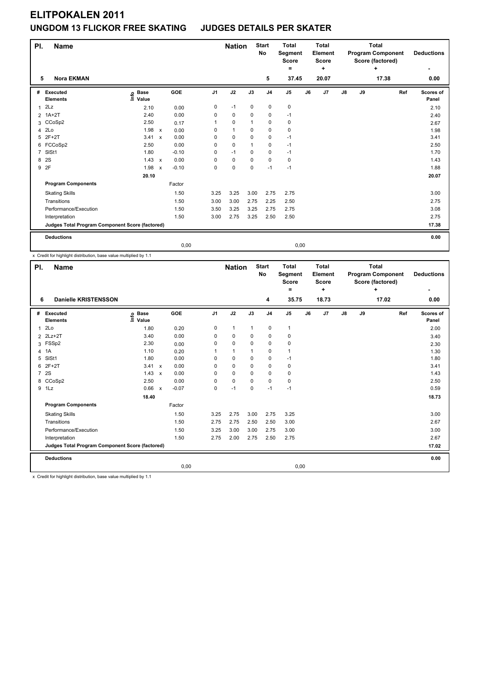| PI.            | <b>Name</b>                                     |                                  |                           |            |                | <b>Nation</b> |             | <b>Start</b><br>No | <b>Total</b><br>Segment<br><b>Score</b> |    | <b>Total</b><br>Element<br><b>Score</b> |    |    | <b>Total</b><br><b>Program Component</b><br>Score (factored) |     | <b>Deductions</b>  |
|----------------|-------------------------------------------------|----------------------------------|---------------------------|------------|----------------|---------------|-------------|--------------------|-----------------------------------------|----|-----------------------------------------|----|----|--------------------------------------------------------------|-----|--------------------|
|                |                                                 |                                  |                           |            |                |               |             |                    | $=$                                     |    | ÷                                       |    |    | ÷                                                            |     | ٠                  |
| 5              | <b>Nora EKMAN</b>                               |                                  |                           |            |                |               |             | 5                  | 37.45                                   |    | 20.07                                   |    |    | 17.38                                                        |     | 0.00               |
| #              | Executed<br><b>Elements</b>                     | <b>Base</b><br>e Base<br>⊑ Value |                           | <b>GOE</b> | J <sub>1</sub> | J2            | J3          | J <sub>4</sub>     | J <sub>5</sub>                          | J6 | J7                                      | J8 | J9 |                                                              | Ref | Scores of<br>Panel |
| 1              | 2Lz                                             | 2.10                             |                           | 0.00       | 0              | $-1$          | 0           | $\mathbf 0$        | $\pmb{0}$                               |    |                                         |    |    |                                                              |     | 2.10               |
|                | 2 1A+2T                                         | 2.40                             |                           | 0.00       | 0              | $\mathbf 0$   | $\mathbf 0$ | $\mathbf 0$        | $-1$                                    |    |                                         |    |    |                                                              |     | 2.40               |
| 3              | CCoSp2                                          | 2.50                             |                           | 0.17       |                | 0             |             | 0                  | 0                                       |    |                                         |    |    |                                                              |     | 2.67               |
| 4              | 2Lo                                             | 1.98                             | $\mathsf{x}$              | 0.00       | 0              | $\mathbf{1}$  | 0           | $\mathbf 0$        | $\mathbf 0$                             |    |                                         |    |    |                                                              |     | 1.98               |
| 5              | $2F+2T$                                         | 3.41                             | $\mathsf{x}$              | 0.00       | 0              | $\mathbf 0$   | $\mathbf 0$ | $\mathbf 0$        | $-1$                                    |    |                                         |    |    |                                                              |     | 3.41               |
|                | 6 FCCoSp2                                       | 2.50                             |                           | 0.00       | 0              | $\mathbf 0$   |             | $\mathbf 0$        | $-1$                                    |    |                                         |    |    |                                                              |     | 2.50               |
| $\overline{7}$ | SIS <sub>t1</sub>                               | 1.80                             |                           | $-0.10$    | 0              | $-1$          | 0           | $\mathbf 0$        | $-1$                                    |    |                                         |    |    |                                                              |     | 1.70               |
| 8              | 2S                                              | 1.43                             | $\mathsf{x}$              | 0.00       | 0              | $\mathbf 0$   | $\mathbf 0$ | $\mathbf 0$        | 0                                       |    |                                         |    |    |                                                              |     | 1.43               |
| 9              | 2F                                              | 1.98                             | $\boldsymbol{\mathsf{x}}$ | $-0.10$    | 0              | $\pmb{0}$     | $\mathbf 0$ | $-1$               | $-1$                                    |    |                                         |    |    |                                                              |     | 1.88               |
|                |                                                 | 20.10                            |                           |            |                |               |             |                    |                                         |    |                                         |    |    |                                                              |     | 20.07              |
|                | <b>Program Components</b>                       |                                  |                           | Factor     |                |               |             |                    |                                         |    |                                         |    |    |                                                              |     |                    |
|                | <b>Skating Skills</b>                           |                                  |                           | 1.50       | 3.25           | 3.25          | 3.00        | 2.75               | 2.75                                    |    |                                         |    |    |                                                              |     | 3.00               |
|                | Transitions                                     |                                  |                           | 1.50       | 3.00           | 3.00          | 2.75        | 2.25               | 2.50                                    |    |                                         |    |    |                                                              |     | 2.75               |
|                | Performance/Execution                           |                                  |                           | 1.50       | 3.50           | 3.25          | 3.25        | 2.75               | 2.75                                    |    |                                         |    |    |                                                              |     | 3.08               |
|                | Interpretation                                  |                                  |                           | 1.50       | 3.00           | 2.75          | 3.25        | 2.50               | 2.50                                    |    |                                         |    |    |                                                              |     | 2.75               |
|                | Judges Total Program Component Score (factored) |                                  |                           |            |                |               |             |                    |                                         |    |                                         |    |    |                                                              |     | 17.38              |
|                | <b>Deductions</b>                               |                                  |                           |            |                |               |             |                    |                                         |    |                                         |    |    |                                                              |     | 0.00               |
|                |                                                 |                                  |                           | 0,00       |                |               |             |                    | 0,00                                    |    |                                         |    |    |                                                              |     |                    |

x Credit for highlight distribution, base value multiplied by 1.1

| PI.            | <b>Name</b>                                     |                              |              |         |                | <b>Nation</b> |              | <b>Start</b><br>No | <b>Total</b><br><b>Segment</b><br><b>Score</b><br>۰ |    | <b>Total</b><br>Element<br><b>Score</b><br>٠ |    |    | <b>Total</b><br><b>Program Component</b><br>Score (factored)<br>÷ |     | <b>Deductions</b>  |
|----------------|-------------------------------------------------|------------------------------|--------------|---------|----------------|---------------|--------------|--------------------|-----------------------------------------------------|----|----------------------------------------------|----|----|-------------------------------------------------------------------|-----|--------------------|
| 6              | <b>Danielle KRISTENSSON</b>                     |                              |              |         |                |               |              | 4                  | 35.75                                               |    | 18.73                                        |    |    | 17.02                                                             |     | 0.00               |
|                | # Executed<br><b>Elements</b>                   | <b>Base</b><br>lnfo<br>Value |              | GOE     | J <sub>1</sub> | J2            | J3           | J <sub>4</sub>     | J5                                                  | J6 | J7                                           | J8 | J9 |                                                                   | Ref | Scores of<br>Panel |
| 1              | 2Lo                                             | 1.80                         |              | 0.20    | 0              | $\mathbf{1}$  | $\mathbf{1}$ | $\mathbf 0$        | 1                                                   |    |                                              |    |    |                                                                   |     | 2.00               |
| $\overline{2}$ | $2Lz+2T$                                        | 3.40                         |              | 0.00    | 0              | 0             | 0            | 0                  | 0                                                   |    |                                              |    |    |                                                                   |     | 3.40               |
|                | 3 FSSp2                                         | 2.30                         |              | 0.00    | $\Omega$       | 0             | 0            | 0                  | 0                                                   |    |                                              |    |    |                                                                   |     | 2.30               |
|                | 4 1A                                            | 1.10                         |              | 0.20    |                | 1             |              | 0                  | 1                                                   |    |                                              |    |    |                                                                   |     | 1.30               |
| 5              | SISt1                                           | 1.80                         |              | 0.00    | 0              | 0             | $\Omega$     | 0                  | $-1$                                                |    |                                              |    |    |                                                                   |     | 1.80               |
| 6              | $2F+2T$                                         | 3.41 x                       |              | 0.00    | $\Omega$       | 0             | 0            | $\mathbf 0$        | 0                                                   |    |                                              |    |    |                                                                   |     | 3.41               |
|                | 7 2S                                            | $1.43 \times$                |              | 0.00    | 0              | 0             | 0            | 0                  | 0                                                   |    |                                              |    |    |                                                                   |     | 1.43               |
|                | 8 CCoSp2                                        | 2.50                         |              | 0.00    | 0              | 0             | 0            | 0                  | 0                                                   |    |                                              |    |    |                                                                   |     | 2.50               |
|                | 9 1Lz                                           | 0.66                         | $\mathbf{x}$ | $-0.07$ | 0              | $-1$          | 0            | $-1$               | $-1$                                                |    |                                              |    |    |                                                                   |     | 0.59               |
|                |                                                 | 18.40                        |              |         |                |               |              |                    |                                                     |    |                                              |    |    |                                                                   |     | 18.73              |
|                | <b>Program Components</b>                       |                              |              | Factor  |                |               |              |                    |                                                     |    |                                              |    |    |                                                                   |     |                    |
|                | <b>Skating Skills</b>                           |                              |              | 1.50    | 3.25           | 2.75          | 3.00         | 2.75               | 3.25                                                |    |                                              |    |    |                                                                   |     | 3.00               |
|                | Transitions                                     |                              |              | 1.50    | 2.75           | 2.75          | 2.50         | 2.50               | 3.00                                                |    |                                              |    |    |                                                                   |     | 2.67               |
|                | Performance/Execution                           |                              |              | 1.50    | 3.25           | 3.00          | 3.00         | 2.75               | 3.00                                                |    |                                              |    |    |                                                                   |     | 3.00               |
|                | Interpretation                                  |                              |              | 1.50    | 2.75           | 2.00          | 2.75         | 2.50               | 2.75                                                |    |                                              |    |    |                                                                   |     | 2.67               |
|                | Judges Total Program Component Score (factored) |                              |              |         |                |               |              |                    |                                                     |    |                                              |    |    |                                                                   |     | 17.02              |
|                | <b>Deductions</b>                               |                              |              |         |                |               |              |                    |                                                     |    |                                              |    |    |                                                                   |     | 0.00               |
|                |                                                 |                              |              | 0,00    |                |               |              |                    | 0,00                                                |    |                                              |    |    |                                                                   |     |                    |
|                | .                                               | $\cdots$ $\cdots$ $\cdots$   |              |         |                |               |              |                    |                                                     |    |                                              |    |    |                                                                   |     |                    |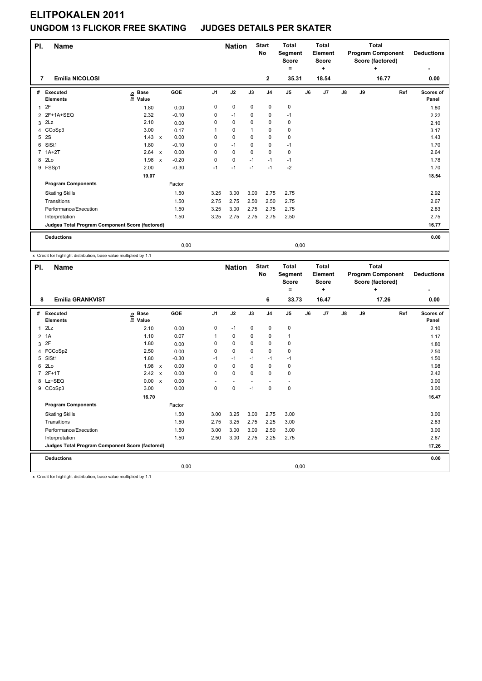| PI.            | <b>Name</b>                                     |                                  |              |         |                | <b>Nation</b> |             | <b>Start</b><br><b>No</b> | <b>Total</b><br>Segment<br><b>Score</b> |    | <b>Total</b><br>Element<br><b>Score</b> |               |    | <b>Total</b><br><b>Program Component</b><br>Score (factored) |     | <b>Deductions</b>  |
|----------------|-------------------------------------------------|----------------------------------|--------------|---------|----------------|---------------|-------------|---------------------------|-----------------------------------------|----|-----------------------------------------|---------------|----|--------------------------------------------------------------|-----|--------------------|
|                |                                                 |                                  |              |         |                |               |             |                           | =                                       |    | ٠                                       |               |    | ÷                                                            |     | ٠                  |
| 7              | <b>Emilia NICOLOSI</b>                          |                                  |              |         |                |               |             | $\mathbf{2}$              | 35.31                                   |    | 18.54                                   |               |    | 16.77                                                        |     | 0.00               |
| #              | Executed<br><b>Elements</b>                     | <b>Base</b><br>e Base<br>⊑ Value |              | GOE     | J <sub>1</sub> | J2            | J3          | J <sub>4</sub>            | J <sub>5</sub>                          | J6 | J7                                      | $\mathsf{J}8$ | J9 |                                                              | Ref | Scores of<br>Panel |
| 1              | 2F                                              | 1.80                             |              | 0.00    | 0              | $\pmb{0}$     | $\mathbf 0$ | 0                         | $\pmb{0}$                               |    |                                         |               |    |                                                              |     | 1.80               |
|                | 2 2F+1A+SEQ                                     | 2.32                             |              | $-0.10$ | 0              | $-1$          | $\mathbf 0$ | 0                         | $-1$                                    |    |                                         |               |    |                                                              |     | 2.22               |
| 3              | 2Lz                                             | 2.10                             |              | 0.00    | 0              | $\mathbf 0$   | $\Omega$    | $\pmb{0}$                 | 0                                       |    |                                         |               |    |                                                              |     | 2.10               |
| $\overline{4}$ | CCoSp3                                          | 3.00                             |              | 0.17    |                | $\mathbf 0$   | 1           | $\mathbf 0$               | $\mathbf 0$                             |    |                                         |               |    |                                                              |     | 3.17               |
| 5              | 2S                                              | 1.43                             | $\mathsf{x}$ | 0.00    | 0              | $\mathbf 0$   | $\mathbf 0$ | $\mathbf 0$               | $\pmb{0}$                               |    |                                         |               |    |                                                              |     | 1.43               |
| 6              | SISt1                                           | 1.80                             |              | $-0.10$ | 0              | $-1$          | $\Omega$    | $\pmb{0}$                 | $-1$                                    |    |                                         |               |    |                                                              |     | 1.70               |
| 7              | $1A+2T$                                         | 2.64 x                           |              | 0.00    | 0              | $\mathbf 0$   | $\Omega$    | $\mathbf 0$               | 0                                       |    |                                         |               |    |                                                              |     | 2.64               |
|                | 8 2Lo                                           | 1.98                             | $\mathsf{x}$ | $-0.20$ | 0              | $\mathbf 0$   | $-1$        | $-1$                      | $-1$                                    |    |                                         |               |    |                                                              |     | 1.78               |
|                | 9 FSSp1                                         | 2.00                             |              | $-0.30$ | $-1$           | $-1$          | $-1$        | $-1$                      | $-2$                                    |    |                                         |               |    |                                                              |     | 1.70               |
|                |                                                 | 19.07                            |              |         |                |               |             |                           |                                         |    |                                         |               |    |                                                              |     | 18.54              |
|                | <b>Program Components</b>                       |                                  |              | Factor  |                |               |             |                           |                                         |    |                                         |               |    |                                                              |     |                    |
|                | <b>Skating Skills</b>                           |                                  |              | 1.50    | 3.25           | 3.00          | 3.00        | 2.75                      | 2.75                                    |    |                                         |               |    |                                                              |     | 2.92               |
|                | Transitions                                     |                                  |              | 1.50    | 2.75           | 2.75          | 2.50        | 2.50                      | 2.75                                    |    |                                         |               |    |                                                              |     | 2.67               |
|                | Performance/Execution                           |                                  |              | 1.50    | 3.25           | 3.00          | 2.75        | 2.75                      | 2.75                                    |    |                                         |               |    |                                                              |     | 2.83               |
|                | Interpretation                                  |                                  |              | 1.50    | 3.25           | 2.75          | 2.75        | 2.75                      | 2.50                                    |    |                                         |               |    |                                                              |     | 2.75               |
|                | Judges Total Program Component Score (factored) |                                  |              |         |                |               |             |                           |                                         |    |                                         |               |    |                                                              |     | 16.77              |
|                | <b>Deductions</b>                               |                                  |              |         |                |               |             |                           |                                         |    |                                         |               |    |                                                              |     | 0.00               |
|                |                                                 |                                  |              | 0,00    |                |               |             |                           | 0,00                                    |    |                                         |               |    |                                                              |     |                    |

x Credit for highlight distribution, base value multiplied by 1.1

| PI. | <b>Name</b>                                     |                              |         |                | <b>Nation</b> |          | <b>Start</b><br>No | <b>Total</b><br>Segment<br><b>Score</b><br>۰ |    | <b>Total</b><br>Element<br><b>Score</b><br>÷ |    |    | <b>Total</b><br><b>Program Component</b><br>Score (factored)<br>÷ |     | <b>Deductions</b>  |
|-----|-------------------------------------------------|------------------------------|---------|----------------|---------------|----------|--------------------|----------------------------------------------|----|----------------------------------------------|----|----|-------------------------------------------------------------------|-----|--------------------|
| 8   | <b>Emilia GRANKVIST</b>                         |                              |         |                |               |          | 6                  | 33.73                                        |    | 16.47                                        |    |    | 17.26                                                             |     | 0.00               |
| #   | Executed<br><b>Elements</b>                     | <b>Base</b><br>١nfo<br>Value | GOE     | J <sub>1</sub> | J2            | J3       | J <sub>4</sub>     | J5                                           | J6 | J <sub>7</sub>                               | J8 | J9 |                                                                   | Ref | Scores of<br>Panel |
|     | $1$ $2Lz$                                       | 2.10                         | 0.00    | 0              | $-1$          | 0        | $\mathbf 0$        | 0                                            |    |                                              |    |    |                                                                   |     | 2.10               |
|     | 2 1A                                            | 1.10                         | 0.07    |                | 0             | 0        | 0                  | 1                                            |    |                                              |    |    |                                                                   |     | 1.17               |
| 3   | 2F                                              | 1.80                         | 0.00    | 0              | 0             | $\Omega$ | 0                  | 0                                            |    |                                              |    |    |                                                                   |     | 1.80               |
|     | 4 FCCoSp2                                       | 2.50                         | 0.00    | 0              | 0             | $\Omega$ | 0                  | 0                                            |    |                                              |    |    |                                                                   |     | 2.50               |
| 5   | SIS <sub>t1</sub>                               | 1.80                         | $-0.30$ | -1             | $-1$          | $-1$     | $-1$               | $-1$                                         |    |                                              |    |    |                                                                   |     | 1.50               |
| 6   | 2Lo                                             | 1.98 x                       | 0.00    | $\Omega$       | $\Omega$      | $\Omega$ | $\mathbf 0$        | 0                                            |    |                                              |    |    |                                                                   |     | 1.98               |
|     | 7 2F+1T                                         | 2.42 x                       | 0.00    | 0              | 0             | $\Omega$ | $\mathbf 0$        | 0                                            |    |                                              |    |    |                                                                   |     | 2.42               |
|     | 8 Lz+SEQ                                        | 0.00 x                       | 0.00    |                |               |          |                    |                                              |    |                                              |    |    |                                                                   |     | 0.00               |
|     | 9 CCoSp3                                        | 3.00                         | 0.00    | 0              | 0             | $-1$     | $\mathbf 0$        | 0                                            |    |                                              |    |    |                                                                   |     | 3.00               |
|     |                                                 | 16.70                        |         |                |               |          |                    |                                              |    |                                              |    |    |                                                                   |     | 16.47              |
|     | <b>Program Components</b>                       |                              | Factor  |                |               |          |                    |                                              |    |                                              |    |    |                                                                   |     |                    |
|     | <b>Skating Skills</b>                           |                              | 1.50    | 3.00           | 3.25          | 3.00     | 2.75               | 3.00                                         |    |                                              |    |    |                                                                   |     | 3.00               |
|     | Transitions                                     |                              | 1.50    | 2.75           | 3.25          | 2.75     | 2.25               | 3.00                                         |    |                                              |    |    |                                                                   |     | 2.83               |
|     | Performance/Execution                           |                              | 1.50    | 3.00           | 3.00          | 3.00     | 2.50               | 3.00                                         |    |                                              |    |    |                                                                   |     | 3.00               |
|     | Interpretation                                  |                              | 1.50    | 2.50           | 3.00          | 2.75     | 2.25               | 2.75                                         |    |                                              |    |    |                                                                   |     | 2.67               |
|     | Judges Total Program Component Score (factored) |                              |         |                |               |          |                    |                                              |    |                                              |    |    |                                                                   |     | 17.26              |
|     | <b>Deductions</b>                               |                              |         |                |               |          |                    |                                              |    |                                              |    |    |                                                                   |     | 0.00               |
|     |                                                 |                              |         | 0,00           |               |          |                    | 0,00                                         |    |                                              |    |    |                                                                   |     |                    |
|     | o me representative and a memorial              |                              |         |                |               |          |                    |                                              |    |                                              |    |    |                                                                   |     |                    |